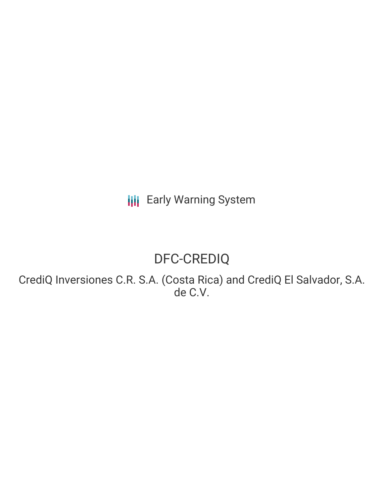**III** Early Warning System

# DFC-CREDIQ

CrediQ Inversiones C.R. S.A. (Costa Rica) and CrediQ El Salvador, S.A. de C.V.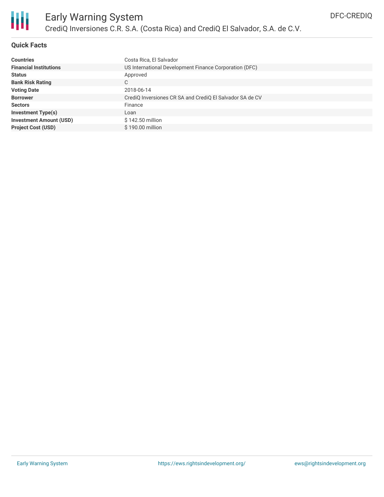

### **Quick Facts**

| <b>Countries</b>               | Costa Rica, El Salvador                                  |
|--------------------------------|----------------------------------------------------------|
| <b>Financial Institutions</b>  | US International Development Finance Corporation (DFC)   |
| <b>Status</b>                  | Approved                                                 |
| <b>Bank Risk Rating</b>        | C.                                                       |
| <b>Voting Date</b>             | 2018-06-14                                               |
| <b>Borrower</b>                | CrediQ Inversiones CR SA and CrediQ El Salvador SA de CV |
| <b>Sectors</b>                 | Finance                                                  |
| <b>Investment Type(s)</b>      | Loan                                                     |
| <b>Investment Amount (USD)</b> | \$142.50 million                                         |
| <b>Project Cost (USD)</b>      | \$190.00 million                                         |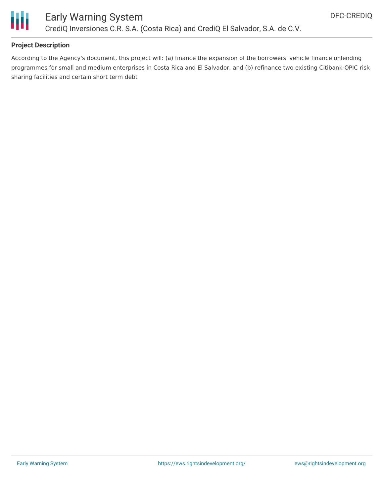

#### **Project Description**

According to the Agency's document, this project will: (a) finance the expansion of the borrowers' vehicle finance onlending programmes for small and medium enterprises in Costa Rica and El Salvador, and (b) refinance two existing Citibank-OPIC risk sharing facilities and certain short term debt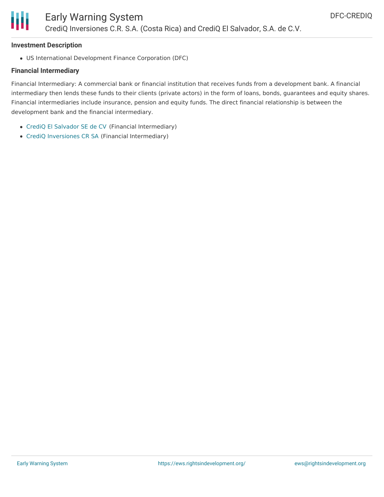

#### **Investment Description**

US International Development Finance Corporation (DFC)

#### **Financial Intermediary**

Financial Intermediary: A commercial bank or financial institution that receives funds from a development bank. A financial intermediary then lends these funds to their clients (private actors) in the form of loans, bonds, guarantees and equity shares. Financial intermediaries include insurance, pension and equity funds. The direct financial relationship is between the development bank and the financial intermediary.

- CrediQ El [Salvador](file:///actor/2276/) SE de CV (Financial Intermediary)
- CrediQ [Inversiones](file:///actor/2275/) CR SA (Financial Intermediary)